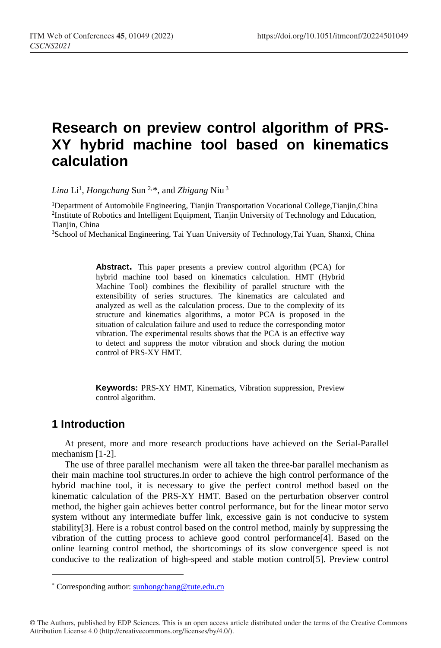# **Research on preview control algorithm of PRS-XY hybrid machine tool based on kinematics calculation**

*Lina* Li1 , *Hongchang* Sun 2,[\\*](#page-0-0), and *Zhigang* Niu <sup>3</sup>

1Department of Automobile Engineering, Tianjin Transportation Vocational College,Tianjin,China 2Institute of Robotics and Intelligent Equipment, Tianjin University of Technology and Education, Tianjin, China

3School of Mechanical Engineering, Tai Yuan University of Technology,Tai Yuan, Shanxi, China

**Abstract.** This paper presents a preview control algorithm (PCA) for hybrid machine tool based on kinematics calculation. HMT (Hybrid Machine Tool) combines the flexibility of parallel structure with the extensibility of series structures. The kinematics are calculated and analyzed as well as the calculation process. Due to the complexity of its structure and kinematics algorithms, a motor PCA is proposed in the situation of calculation failure and used to reduce the corresponding motor vibration. The experimental results shows that the PCA is an effective way to detect and suppress the motor vibration and shock during the motion control of PRS-XY HMT.

**Keywords:** PRS-XY HMT, Kinematics, Vibration suppression, Preview control algorithm.

## **1 Introduction**

ł

At present, more and more research productions have achieved on the Serial-Parallel mechanism [1-2].

The use of three parallel mechanism were all taken the three-bar parallel mechanism as their main machine tool structures.In order to achieve the high control performance of the hybrid machine tool, it is necessary to give the perfect control method based on the kinematic calculation of the PRS-XY HMT. Based on the perturbation observer control method, the higher gain achieves better control performance, but for the linear motor servo system without any intermediate buffer link, excessive gain is not conducive to system stability[3]. Here is a robust control based on the control method, mainly by suppressing the vibration of the cutting process to achieve good control performance[4]. Based on the online learning control method, the shortcomings of its slow convergence speed is not conducive to the realization of high-speed and stable motion control[5]. Preview control

<span id="page-0-0"></span><sup>\*</sup> Corresponding author: sunhongchang@tute.edu.cn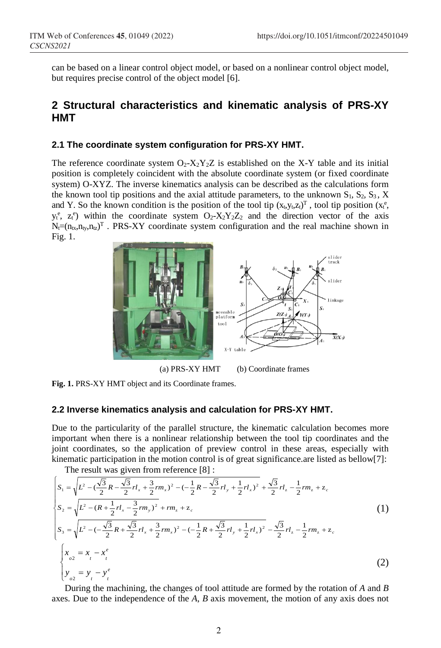can be based on a linear control object model, or based on a nonlinear control object model, but requires precise control of the object model [6].

## **2 Structural characteristics and kinematic analysis of PRS-XY HMT**

#### **2.1 The coordinate system configuration for PRS-XY HMT.**

The reference coordinate system  $O_2$ - $X_2Y_2Z$  is established on the X-Y table and its initial position is completely coincident with the absolute coordinate system (or fixed coordinate system) O-XYZ. The inverse kinematics analysis can be described as the calculations form the known tool tip positions and the axial attitude parameters, to the unknown  $S_1, S_2, S_3, X$ and Y. So the known condition is the position of the tool tip  $(x_t, y_t, z_t)^T$ , tool tip position  $(x_t^e,$  $y_t^e$ ,  $z_t^e$ ) within the coordinate system  $Q_2$ - $X_2Y_2Z_2$  and the direction vector of the axis  $N_f = (n_{tx}, n_{ty}, n_{tz})^T$ . PRS-XY coordinate system configuration and the real machine shown in Fig. 1.



**Fig. 1.** PRS-XY HMT object and its Coordinate frames.

#### **2.2 Inverse kinematics analysis and calculation for PRS-XY HMT.**

Due to the particularity of the parallel structure, the kinematic calculation becomes more important when there is a nonlinear relationship between the tool tip coordinates and the joint coordinates, so the application of preview control in these areas, especially with kinematic participation in the motion control is of great significance.are listed as bellow[7]:

The result was given from reference [8] :

$$
\begin{cases}\nS_{1} = \sqrt{L^{2} - (\frac{\sqrt{3}}{2}R - \frac{\sqrt{3}}{2}rl_{x} + \frac{3}{2}rm_{x})^{2} - (-\frac{1}{2}R - \frac{\sqrt{3}}{2}rl_{y} + \frac{1}{2}rl_{x})^{2}} + \frac{\sqrt{3}}{2}rl_{z} - \frac{1}{2}rm_{z} + z_{c} \\
S_{2} = \sqrt{L^{2} - (R + \frac{1}{2}rl_{x} - \frac{3}{2}rm_{y})^{2} + rm_{z} + z_{c}} \\
S_{3} = \sqrt{L^{2} - (-\frac{\sqrt{3}}{2}R + \frac{\sqrt{3}}{2}rl_{x} + \frac{3}{2}rm_{x})^{2} - (-\frac{1}{2}R + \frac{\sqrt{3}}{2}rl_{y} + \frac{1}{2}rl_{x})^{2}} - \frac{\sqrt{3}}{2}rl_{z} - \frac{1}{2}rm_{z} + z_{c} \\
\begin{cases}\nx_{o} = x_{l} - x_{l}^{e} \\
y_{o2} = y_{l} - y_{l}^{e}\n\end{cases}\n\tag{2}
$$

During the machining, the changes of tool attitude are formed by the rotation of *A* and *B* axes. Due to the independence of the *A*, *B* axis movement, the motion of any axis does not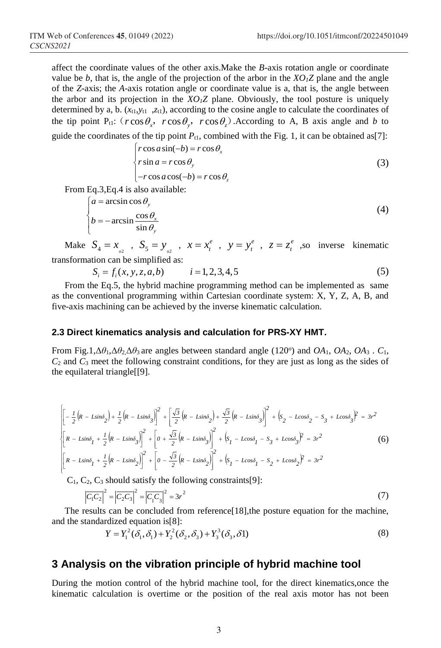affect the coordinate values of the other axis.Make the *B*-axis rotation angle or coordinate value be *b*, that is, the angle of the projection of the arbor in the  $XO_1Z$  plane and the angle of the *Z*-axis; the *A*-axis rotation angle or coordinate value is a, that is, the angle between the arbor and its projection in the  $XO_1Z$  plane. Obviously, the tool posture is uniquely determined by a, b. (*x*t1,*y*t1 ,*z*t1), according to the cosine angle to calculate the coordinates of the tip point P<sub>t1</sub>:  $(r\cos\theta_x, r\cos\theta_y, r\cos\theta_z)$ . According to A, B axis angle and *b* to

guide the coordinates of the tip point  $P_{t1}$ , combined with the Fig. 1, it can be obtained as[7]:

$$
\begin{cases}\n r \cos a \sin(-b) = r \cos \theta_x \\
 r \sin a = r \cos \theta_y\n\end{cases}
$$
\n(3)

$$
\bigg(-r\cos a\cos(-b) = r\cos\theta_z
$$

From Eq.3,Eq.4 is also available:

$$
\begin{cases}\na = \arcsin \cos \theta_y \\
b = -\arcsin \frac{\cos \theta_x}{\sin \theta_y}\n\end{cases}
$$
\n(4)

Make  $S_4 = x_{a_2}$ ,  $S_5 = y_{a_2}$ ,  $x = x_t^e$ ,  $y = y_t^e$ ,  $z = z_t^e$ , so inverse kinematic transformation can be simplified as:

 $S_i = f_i(x, y, z, a, b)$   $i = 1,2,3,4,5$  (5)

From the Eq.5, the hybrid machine programming method can be implemented as same as the conventional programming within Cartesian coordinate system: X, Y, Z, A, B, and five-axis machining can be achieved by the inverse kinematic calculation.

#### **2.3 Direct kinematics analysis and calculation for PRS-XY HMT.**

From Fig.1, $\Delta\theta_1$ , $\Delta\theta_2$ , $\Delta\theta_3$  are angles between standard angle (120<sup>o</sup>) and *OA*<sub>1</sub>, *OA*<sub>2</sub>, *OA*<sub>3</sub>. *C*<sub>1</sub>,  $C_2$  and  $C_3$  meet the following constraint conditions, for they are just as long as the sides of the equilateral triangle[[9].

$$
\begin{aligned}\n&\left[\left[-\frac{1}{2}\left(R-L\sin\delta_{2}\right)+\frac{1}{2}\left(R-L\sin\delta_{3}\right)\right]^{2}+\left[\frac{\sqrt{3}}{2}\left(R-L\sin\delta_{2}\right)+\frac{\sqrt{3}}{2}\left(R-L\sin\delta_{3}\right)\right]^{2}+\left(s_{2}-L\cos\delta_{2}-s_{3}+L\cos\delta_{3}\right)^{2}\right] =3r^{2} \\
&\left[R-L\sin\delta_{1}+\frac{1}{2}\left(R-L\sin\delta_{3}\right)\right]^{2}+\left[0+\frac{\sqrt{3}}{2}\left(R-L\sin\delta_{3}\right)\right]^{2}+\left(s_{1}-L\cos\delta_{1}-s_{3}+L\cos\delta_{3}\right)^{2}=3r^{2} \\
&\left[\left(R-L\sin\delta_{1}+\frac{1}{2}\left(R-L\sin\delta_{2}\right)\right]^{2}+\left[0-\frac{\sqrt{3}}{2}\left(R-L\sin\delta_{2}\right)\right]^{2}+\left(s_{1}-L\cos\delta_{1}-s_{2}+L\cos\delta_{2}\right)^{2}=3r^{2}\n\end{aligned}
$$
(6)

 $C_1, C_2, C_3$  should satisfy the following constraints[9]:

$$
\left|\overline{C_1C_2}\right|^2 = \left|\overline{C_2C_3}\right|^2 = \left|\overline{C_1C_3}\right|^2 = 3r^2\tag{7}
$$

The results can be concluded from reference[18],the posture equation for the machine, and the standardized equation is[8]:

$$
Y = Y_1^2(\delta_1, \delta_1) + Y_2^2(\delta_2, \delta_3) + Y_3^3(\delta_3, \delta 1)
$$
\n(8)

## **3 Analysis on the vibration principle of hybrid machine tool**

During the motion control of the hybrid machine tool, for the direct kinematics,once the kinematic calculation is overtime or the position of the real axis motor has not been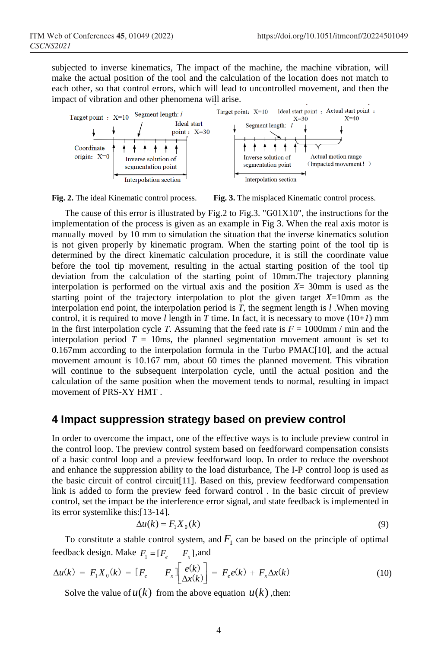subjected to inverse kinematics, The impact of the machine, the machine vibration, will make the actual position of the tool and the calculation of the location does not match to each other, so that control errors, which will lead to uncontrolled movement, and then the impact of vibration and other phenomena will arise.





The cause of this error is illustrated by Fig.2 to Fig.3. "G01X10", the instructions for the implementation of the process is given as an example in Fig 3. When the real axis motor is manually moved by 10 mm to simulation the situation that the inverse kinematics solution is not given properly by kinematic program. When the starting point of the tool tip is determined by the direct kinematic calculation procedure, it is still the coordinate value before the tool tip movement, resulting in the actual starting position of the tool tip deviation from the calculation of the starting point of 10mm.The trajectory planning interpolation is performed on the virtual axis and the position  $X = 30$  mm is used as the starting point of the trajectory interpolation to plot the given target *X*=10mm as the interpolation end point, the interpolation period is *T*, the segment length is *l* .When moving control, it is required to move *l* length in *T* time. In fact, it is necessary to move  $(10+1)$  mm in the first interpolation cycle *T*. Assuming that the feed rate is  $F = 1000$ mm / min and the interpolation period  $T = 10$ ms, the planned segmentation movement amount is set to 0.167mm according to the interpolation formula in the Turbo PMAC[10], and the actual movement amount is 10.167 mm, about 60 times the planned movement. This vibration will continue to the subsequent interpolation cycle, until the actual position and the calculation of the same position when the movement tends to normal, resulting in impact movement of PRS-XY HMT .

### **4 Impact suppression strategy based on preview control**

In order to overcome the impact, one of the effective ways is to include preview control in the control loop. The preview control system based on feedforward compensation consists of a basic control loop and a preview feedforward loop. In order to reduce the overshoot and enhance the suppression ability to the load disturbance, The I-P control loop is used as the basic circuit of control circuit[11]. Based on this, preview feedforward compensation link is added to form the preview feed forward control . In the basic circuit of preview control, set the impact be the interference error signal, and state feedback is implemented in its error systemlike this:[13-14].

$$
\Delta u(k) = F_1 X_0(k) \tag{9}
$$

To constitute a stable control system, and  $F_1$  can be based on the principle of optimal feedback design. Make  $F_1 = [F_e \quad F_x]$ , and

$$
\Delta u(k) = F_1 X_0(k) = \begin{bmatrix} F_e & F_x \end{bmatrix} \begin{bmatrix} e(k) \\ \Delta x(k) \end{bmatrix} = F_e e(k) + F_x \Delta x(k)
$$
\n(10)

Solve the value of  $u(k)$  from the above equation  $u(k)$ , then: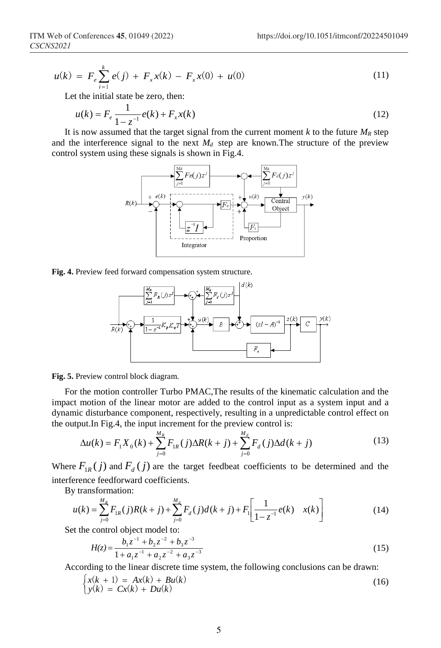$$
u(k) = F_e \sum_{i=1}^{k} e(j) + F_x x(k) - F_x x(0) + u(0)
$$
\n(11)

Let the initial state be zero, then:

$$
u(k) = F_e \frac{1}{1 - z^{-1}} e(k) + F_x x(k)
$$
 (12)

It is now assumed that the target signal from the current moment  $k$  to the future  $M_R$  step and the interference signal to the next  $M_d$  step are known. The structure of the preview control system using these signals is shown in Fig.4.



**Fig. 4.** Preview feed forward compensation system structure.



**Fig. 5.** Preview control block diagram.

For the motion controller Turbo PMAC,The results of the kinematic calculation and the impact motion of the linear motor are added to the control input as a system input and a dynamic disturbance component, respectively, resulting in a unpredictable control effect on the output.In Fig.4, the input increment for the preview control is:

$$
\Delta u(k) = F_1 X_0(k) + \sum_{j=0}^{M_R} F_{1R}(j) \Delta R(k+j) + \sum_{j=0}^{M_d} F_d(j) \Delta d(k+j)
$$
(13)

Where  $F_{1R}(j)$  and  $F_{\lambda}(j)$  are the target feedbeat coefficients to be determined and the interference feedforward coefficients.

By transformation:

$$
u(k) = \sum_{j=0}^{M_R} F_{1R}(j)R(k+j) + \sum_{j=0}^{M_d} F_d(j)d(k+j) + F_1\left[\frac{1}{1-z^{-1}}e(k) - x(k)\right]
$$
(14)

Set the control object model to:

$$
H(z) = \frac{b_1 z^{-1} + b_2 z^{-2} + b_3 z^{-3}}{1 + a_1 z^{-1} + a_2 z^{-2} + a_3 z^{-3}}
$$
\n(15)

According to the linear discrete time system, the following conclusions can be drawn:

$$
\begin{cases} x(k+1) = Ax(k) + Bu(k) \\ y(k) = Cx(k) + Du(k) \end{cases}
$$
 (16)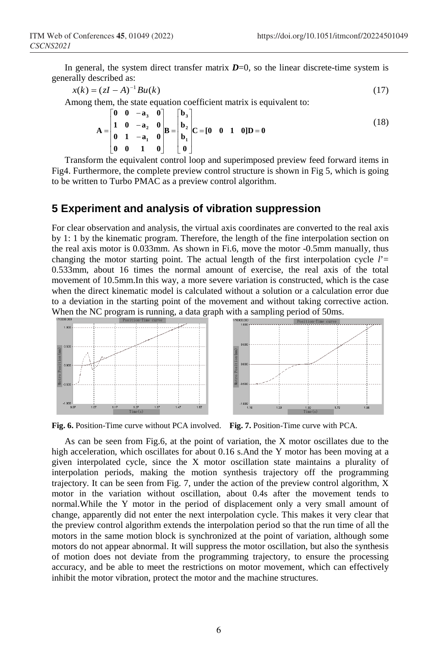In general, the system direct transfer matrix  $D=0$ , so the linear discrete-time system is generally described as:

$$
x(k) = (zI - A)^{-1}Bu(k)
$$
 (17)

Among them, the state equation coefficient matrix is equivalent to:

$$
A = \begin{bmatrix} 0 & 0 & -a_3 & 0 \\ 1 & 0 & -a_2 & 0 \\ 0 & 1 & -a_1 & 0 \\ 0 & 0 & 1 & 0 \end{bmatrix} B = \begin{bmatrix} b_3 \\ b_2 \\ b_1 \\ 0 \end{bmatrix} C = [0 \quad 0 \quad 1 \quad 0] D = 0
$$
 (18)

Transform the equivalent control loop and superimposed preview feed forward items in Fig4. Furthermore, the complete preview control structure is shown in Fig 5, which is going to be written to Turbo PMAC as a preview control algorithm.

### **5 Experiment and analysis of vibration suppression**

For clear observation and analysis, the virtual axis coordinates are converted to the real axis by 1: 1 by the kinematic program. Therefore, the length of the fine interpolation section on the real axis motor is 0.033mm. As shown in Fi.6, move the motor -0.5mm manually, thus changing the motor starting point. The actual length of the first interpolation cycle  $l' =$ 0.533mm, about 16 times the normal amount of exercise, the real axis of the total movement of 10.5mm.In this way, a more severe variation is constructed, which is the case when the direct kinematic model is calculated without a solution or a calculation error due to a deviation in the starting point of the movement and without taking corrective action. When the NC program is running, a data graph with a sampling period of 50ms.



**Fig. 6.** Position-Time curve without PCA involved. **Fig. 7.** Position-Time curve with PCA.

As can be seen from Fig.6, at the point of variation, the X motor oscillates due to the high acceleration, which oscillates for about 0.16 s. And the Y motor has been moving at a given interpolated cycle, since the X motor oscillation state maintains a plurality of interpolation periods, making the motion synthesis trajectory off the programming trajectory. It can be seen from Fig. 7, under the action of the preview control algorithm, X motor in the variation without oscillation, about 0.4s after the movement tends to normal.While the Y motor in the period of displacement only a very small amount of change, apparently did not enter the next interpolation cycle. This makes it very clear that the preview control algorithm extends the interpolation period so that the run time of all the motors in the same motion block is synchronized at the point of variation, although some motors do not appear abnormal. It will suppress the motor oscillation, but also the synthesis of motion does not deviate from the programming trajectory, to ensure the processing accuracy, and be able to meet the restrictions on motor movement, which can effectively inhibit the motor vibration, protect the motor and the machine structures.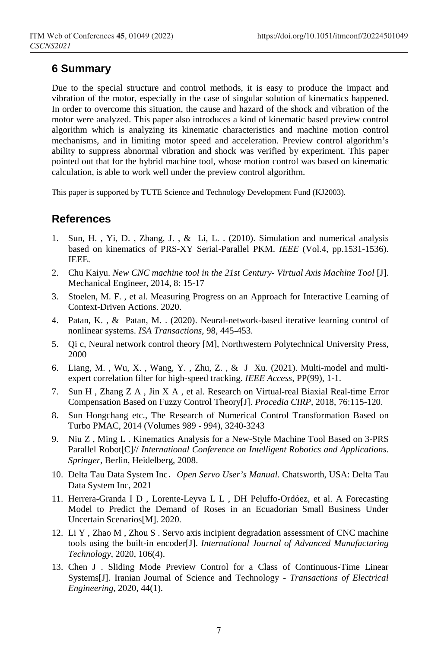## **6 Summary**

Due to the special structure and control methods, it is easy to produce the impact and vibration of the motor, especially in the case of singular solution of kinematics happened. In order to overcome this situation, the cause and hazard of the shock and vibration of the motor were analyzed. This paper also introduces a kind of kinematic based preview control algorithm which is analyzing its kinematic characteristics and machine motion control mechanisms, and in limiting motor speed and acceleration. Preview control algorithm's ability to suppress abnormal vibration and shock was verified by experiment. This paper pointed out that for the hybrid machine tool, whose motion control was based on kinematic calculation, is able to work well under the preview control algorithm.

This paper is supported by TUTE Science and Technology Development Fund (KJ2003).

## **References**

- 1. Sun, H. , Yi, D. , Zhang, J. , & Li, L. . (2010). Simulation and numerical analysis based on kinematics of PRS-XY Serial-Parallel PKM. *IEEE* (Vol.4, pp.1531-1536). IEEE.
- 2. Chu Kaiyu. *New CNC machine tool in the 21st Century- Virtual Axis Machine Tool* [J]. Mechanical Engineer, 2014, 8: 15-17
- 3. Stoelen, M. F. , et al. Measuring Progress on an Approach for Interactive Learning of Context-Driven Actions. 2020.
- 4. Patan, K. , & Patan, M. . (2020). Neural-network-based iterative learning control of nonlinear systems. *ISA Transactions*, 98, 445-453.
- 5. Qi c, Neural network control theory [M], Northwestern Polytechnical University Press, 2000
- 6. Liang, M. , Wu, X. , Wang, Y. , Zhu, Z. , & J Xu. (2021). Multi-model and multiexpert correlation filter for high-speed tracking. *IEEE Access,* PP(99), 1-1.
- 7. Sun H , Zhang Z A , Jin X A , et al. Research on Virtual-real Biaxial Real-time Error Compensation Based on Fuzzy Control Theory[J]. *Procedia CIRP,* 2018, 76:115-120.
- 8. Sun Hongchang etc., The Research of Numerical Control Transformation Based on Turbo PMAC, 2014 (Volumes 989 - 994), 3240-3243
- 9. Niu Z , Ming L . Kinematics Analysis for a New-Style Machine Tool Based on 3-PRS Parallel Robot[C]// *International Conference on Intelligent Robotics and Applications. Springer,* Berlin, Heidelberg, 2008.
- 10. Delta Tau Data System Inc.*Open Servo User's Manual*. Chatsworth, USA: Delta Tau Data System Inc, 2021
- 11. Herrera-Granda I D , Lorente-Leyva L L , DH Peluffo-Ordóez, et al. A Forecasting Model to Predict the Demand of Roses in an Ecuadorian Small Business Under Uncertain Scenarios[M]. 2020.
- 12. Li Y , Zhao M , Zhou S . Servo axis incipient degradation assessment of CNC machine tools using the built-in encoder[J]. *International Journal of Advanced Manufacturing Technology*, 2020, 106(4).
- 13. Chen J . Sliding Mode Preview Control for a Class of Continuous-Time Linear Systems[J]. Iranian Journal of Science and Technology - *Transactions of Electrical Engineering*, 2020, 44(1).